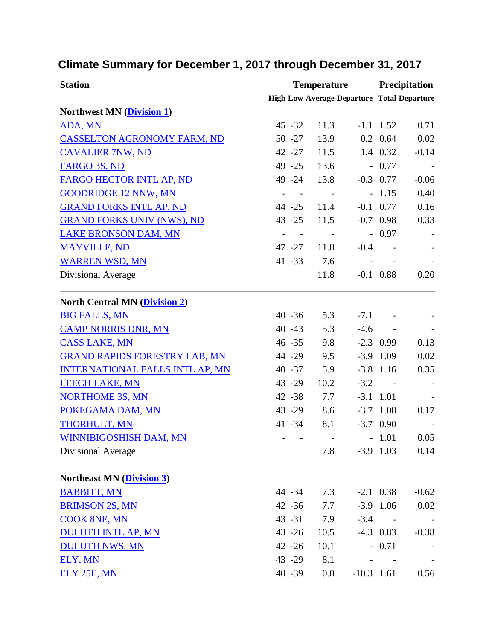## **Climate Summary for December 1, 2017 through December 31, 2017**

| <b>Station</b>                         |                                                   | <b>Temperature</b> |              |                         | <b>Precipitation</b> |  |
|----------------------------------------|---------------------------------------------------|--------------------|--------------|-------------------------|----------------------|--|
|                                        | <b>High Low Average Departure Total Departure</b> |                    |              |                         |                      |  |
| <b>Northwest MN (Division 1)</b>       |                                                   |                    |              |                         |                      |  |
| ADA, MN                                | $45 - 32$                                         | 11.3               |              | $-1.1$ 1.52             | 0.71                 |  |
| <b>CASSELTON AGRONOMY FARM, ND</b>     | $50 - 27$                                         | 13.9               |              | $0.2 \quad 0.64$        | 0.02                 |  |
| <b>CAVALIER 7NW, ND</b>                | $42 - 27$                                         | 11.5               |              | 1.4 0.32                | $-0.14$              |  |
| FARGO 3S, ND                           | 49 - 25                                           | 13.6               |              | $-0.77$                 |                      |  |
| FARGO HECTOR INTL AP, ND               | 49 - 24                                           | 13.8               |              | $-0.3$ 0.77             | $-0.06$              |  |
| <b>GOODRIDGE 12 NNW, MN</b>            |                                                   |                    |              | $-1.15$                 | 0.40                 |  |
| <b>GRAND FORKS INTL AP, ND</b>         | $44 - 25$                                         | 11.4               |              | $-0.1$ 0.77             | 0.16                 |  |
| <b>GRAND FORKS UNIV (NWS), ND</b>      | $43 - 25$                                         | 11.5               |              | $-0.7$ 0.98             | 0.33                 |  |
| <b>LAKE BRONSON DAM, MN</b>            |                                                   |                    |              | $-0.97$                 |                      |  |
| <b>MAYVILLE, ND</b>                    | 47 -27                                            | 11.8               | $-0.4$       |                         |                      |  |
| <b>WARREN WSD, MN</b>                  | 41 - 33                                           | 7.6                |              |                         |                      |  |
| Divisional Average                     |                                                   | 11.8               |              | $-0.1$ 0.88             | 0.20                 |  |
| <b>North Central MN (Division 2)</b>   |                                                   |                    |              |                         |                      |  |
| <b>BIG FALLS, MN</b>                   | $40 - 36$                                         | 5.3                | $-7.1$       |                         |                      |  |
| <b>CAMP NORRIS DNR, MN</b>             | $40 - 43$                                         | 5.3                | $-4.6$       | $\sim 100$ km s $^{-1}$ |                      |  |
| <b>CASS LAKE, MN</b>                   | $46 - 35$                                         | 9.8                |              | $-2.3$ 0.99             | 0.13                 |  |
| <b>GRAND RAPIDS FORESTRY LAB, MN</b>   | 44 - 29                                           | 9.5                |              | $-3.9$ 1.09             | 0.02                 |  |
| <b>INTERNATIONAL FALLS INTL AP, MN</b> | $40 - 37$                                         | 5.9                |              | $-3.8$ 1.16             | 0.35                 |  |
| <b>LEECH LAKE, MN</b>                  | 43 - 29                                           | 10.2               | $-3.2$       | $\sim 100$ km s $^{-1}$ |                      |  |
| <b>NORTHOME 3S, MN</b>                 | $42 - 38$                                         | 7.7                |              | $-3.1$ 1.01             |                      |  |
| POKEGAMA DAM, MN                       | 43 - 29                                           | 8.6                |              | $-3.7$ 1.08             | 0.17                 |  |
| <b>THORHULT, MN</b>                    | 41 - 34                                           | 8.1                |              | $-3.7$ 0.90             |                      |  |
| WINNIBIGOSHISH DAM, MN                 |                                                   |                    |              | $-1.01$                 | 0.05                 |  |
| Divisional Average                     |                                                   | 7.8                |              | $-3.9$ 1.03             | 0.14                 |  |
| <b>Northeast MN (Division 3)</b>       |                                                   |                    |              |                         |                      |  |
| <b>BABBITT, MN</b>                     | 44 - 34                                           | 7.3                |              | $-2.1$ 0.38             | $-0.62$              |  |
| <b>BRIMSON 2S, MN</b>                  | $42 - 36$                                         | 7.7                |              | $-3.9$ 1.06             | 0.02                 |  |
| <b>COOK 8NE, MN</b>                    | $43 - 31$                                         | 7.9                | $-3.4$       |                         |                      |  |
| <b>DULUTH INTL AP, MN</b>              | $43 - 26$                                         | 10.5               |              | $-4.3$ 0.83             | $-0.38$              |  |
| <b>DULUTH NWS, MN</b>                  | $42 - 26$                                         | 10.1               |              | $-0.71$                 |                      |  |
| ELY, MN                                | 43 - 29                                           | 8.1                |              |                         |                      |  |
| ELY 25E, MN                            | 40 - 39                                           | 0.0                | $-10.3$ 1.61 |                         | 0.56                 |  |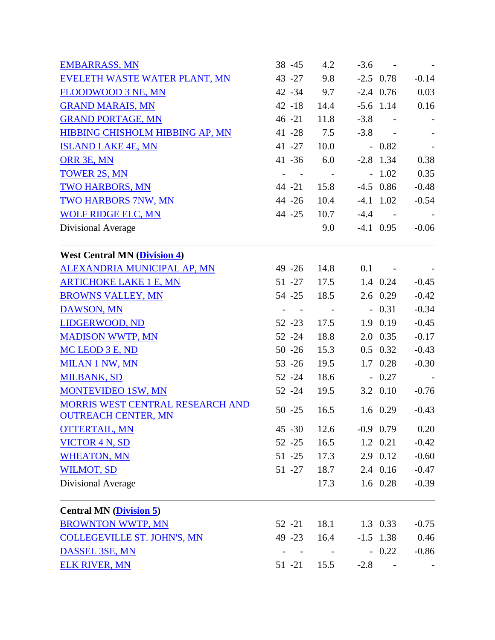| <b>EMBARRASS, MN</b>                                           | $38 - 45$                                   | 4.2                      | $-3.6$ | $\sim 100$ km s $^{-1}$  |         |
|----------------------------------------------------------------|---------------------------------------------|--------------------------|--------|--------------------------|---------|
| EVELETH WASTE WATER PLANT, MN                                  | 43 - 27                                     | 9.8                      |        | $-2.5$ 0.78              | $-0.14$ |
| FLOODWOOD 3 NE, MN                                             | $42 - 34$                                   | 9.7                      |        | $-2.4$ 0.76              | 0.03    |
| <b>GRAND MARAIS, MN</b>                                        | $42 - 18$                                   | 14.4                     |        | $-5.6$ 1.14              | 0.16    |
| <b>GRAND PORTAGE, MN</b>                                       | $46 - 21$                                   | 11.8                     | $-3.8$ | $\sim 100$ km s $^{-1}$  |         |
| HIBBING CHISHOLM HIBBING AP, MN                                | $41 - 28$                                   | 7.5                      |        | $-3.8 -$                 |         |
| <b>ISLAND LAKE 4E, MN</b>                                      | $41 - 27$                                   | 10.0                     |        | $-0.82$                  |         |
| ORR 3E, MN                                                     | $41 - 36$                                   | 6.0                      |        | $-2.8$ 1.34              | 0.38    |
| <b>TOWER 2S, MN</b>                                            | $\omega_{\rm{max}}$ and $\omega_{\rm{max}}$ | $\sim 100$               |        | $-1.02$                  | 0.35    |
| <b>TWO HARBORS, MN</b>                                         | $44 - 21$                                   | 15.8                     |        | $-4.5$ 0.86              | $-0.48$ |
| <b>TWO HARBORS 7NW, MN</b>                                     | $44 - 26$                                   | 10.4                     |        | $-4.1$ 1.02              | $-0.54$ |
| <b>WOLF RIDGE ELC, MN</b>                                      | 44 -25                                      | 10.7                     |        | $-4.4 -$                 |         |
| Divisional Average                                             |                                             | 9.0                      |        | $-4.1$ 0.95              | $-0.06$ |
| <b>West Central MN (Division 4)</b>                            |                                             |                          |        |                          |         |
| ALEXANDRIA MUNICIPAL AP, MN                                    | 49 -26 14.8                                 |                          |        | $0.1 -$                  |         |
| <b>ARTICHOKE LAKE 1 E, MN</b>                                  | $51 - 27$                                   | 17.5                     |        | 1.4 0.24                 | $-0.45$ |
| <b>BROWNS VALLEY, MN</b>                                       | 54 -25                                      | 18.5                     |        | $2.6 \t0.29$             | $-0.42$ |
| <b>DAWSON, MN</b>                                              | $\omega_{\rm{max}}=1$                       | $\sim 100$ km s $^{-1}$  |        | $-0.31$                  | $-0.34$ |
| LIDGERWOOD, ND                                                 | $52 - 23$                                   | 17.5                     |        | 1.9 0.19                 | $-0.45$ |
| <b>MADISON WWTP, MN</b>                                        | $52 - 24$                                   | 18.8                     |        | 2.0 0.35                 | $-0.17$ |
| MC LEOD 3 E, ND                                                | $50 - 26$                                   | 15.3                     |        | $0.5$ 0.32               | $-0.43$ |
| <b>MILAN 1 NW, MN</b>                                          | $53 - 26$                                   | 19.5                     |        | 1.7 0.28                 | $-0.30$ |
| <b>MILBANK, SD</b>                                             | $52 - 24$                                   | 18.6                     |        | $-0.27$                  |         |
| MONTEVIDEO 1SW, MN                                             | $52 - 24$                                   | 19.5                     |        | 3.2 0.10                 | $-0.76$ |
| MORRIS WEST CENTRAL RESEARCH AND<br><b>OUTREACH CENTER, MN</b> | $50 - 25$                                   | 16.5                     |        | $1.6 \quad 0.29$         | $-0.43$ |
| <b>OTTERTAIL, MN</b>                                           | $45 - 30$                                   | 12.6                     |        | $-0.9$ 0.79              | 0.20    |
| <b>VICTOR 4 N, SD</b>                                          | $52 - 25$                                   | 16.5                     |        | 1.2 0.21                 | $-0.42$ |
| <b>WHEATON, MN</b>                                             | $51 - 25$                                   | 17.3                     |        | 2.9 0.12                 | $-0.60$ |
| <b>WILMOT, SD</b>                                              | $51 - 27$                                   | 18.7                     |        | 2.4 0.16                 | $-0.47$ |
| Divisional Average                                             |                                             | 17.3                     |        | 1.6 0.28                 | $-0.39$ |
| <b>Central MN</b> ( <i>Division 5</i> )                        |                                             |                          |        |                          |         |
| <b>BROWNTON WWTP, MN</b>                                       | $52 - 21$                                   | 18.1                     |        | 1.3 0.33                 | $-0.75$ |
| <b>COLLEGEVILLE ST. JOHN'S, MN</b>                             | $49 - 23$                                   | 16.4                     |        | $-1.5$ 1.38              | 0.46    |
| DASSEL 3SE, MN                                                 |                                             | <b>Contract Contract</b> |        | $-0.22$                  | $-0.86$ |
| <b>ELK RIVER, MN</b>                                           | $51 - 21$                                   | 15.5                     | $-2.8$ | $\overline{\phantom{a}}$ |         |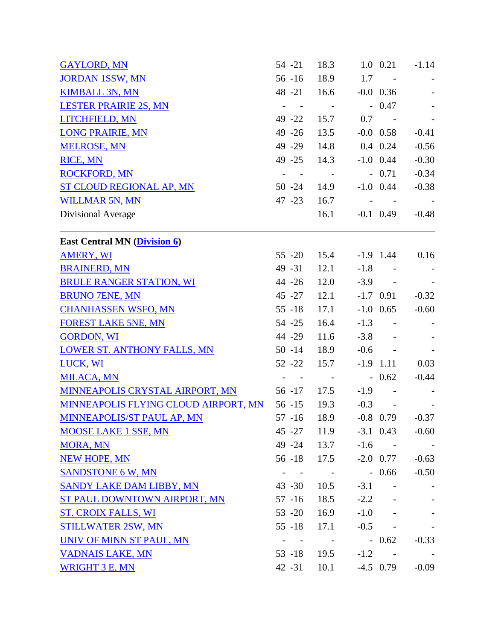| <b>GAYLORD, MN</b>                   | $54 - 21$                                 | 18.3                    |         | 1.0 0.21                | $-1.14$ |
|--------------------------------------|-------------------------------------------|-------------------------|---------|-------------------------|---------|
| <b>JORDAN 1SSW, MN</b>               | $56 - 16$                                 | 18.9                    |         | $1.7 -$                 |         |
| <b>KIMBALL 3N, MN</b>                | 48 -21 16.6                               |                         |         | $-0.0$ 0.36             |         |
| <b>LESTER PRAIRIE 2S, MN</b>         | $\overline{\phantom{a}}$<br>$\sim$ $-$    | $\sim 100$ km s $^{-1}$ |         | $-0.47$                 |         |
| LITCHFIELD, MN                       | 49 - 22                                   | 15.7                    | 0.7     | $\sim 100$ km s $^{-1}$ |         |
| <b>LONG PRAIRIE, MN</b>              | $49 - 26$                                 | 13.5                    |         | $-0.0$ 0.58             | $-0.41$ |
| <b>MELROSE, MN</b>                   | 49 - 29                                   | 14.8                    |         | $0.4$ 0.24              | $-0.56$ |
| <b>RICE, MN</b>                      | 49 - 25                                   | 14.3                    |         | $-1.0$ 0.44             | $-0.30$ |
| <b>ROCKFORD, MN</b>                  | $\equiv$<br>$\sim$ $-$                    | $\sim 100$ km $^{-1}$   |         | $-0.71$                 | $-0.34$ |
| <b>ST CLOUD REGIONAL AP, MN</b>      | $50 - 24$                                 | 14.9                    |         | $-1.0$ 0.44             | $-0.38$ |
| <b>WILLMAR 5N, MN</b>                | $47 - 23$                                 | 16.7                    |         | and the contract of     |         |
| Divisional Average                   |                                           | 16.1                    |         | $-0.1$ 0.49             | $-0.48$ |
| <b>East Central MN (Division 6)</b>  |                                           |                         |         |                         |         |
| <b>AMERY, WI</b>                     | $55 - 20$                                 | 15.4                    |         | $-1.9$ 1.44             | 0.16    |
| <b>BRAINERD, MN</b>                  | $49 - 31$                                 | 12.1                    |         | $-1.8 - 1$              |         |
| <b>BRULE RANGER STATION, WI</b>      | 44 -26                                    | 12.0                    |         | $-3.9 -$                |         |
| <b>BRUNO 7ENE, MN</b>                | 45 - 27                                   | 12.1                    |         | $-1.7$ 0.91             | $-0.32$ |
| <b>CHANHASSEN WSFO, MN</b>           | $55 - 18$                                 | 17.1                    |         | $-1.0$ 0.65             | $-0.60$ |
| <b>FOREST LAKE 5NE, MN</b>           | $54 - 25$                                 | 16.4                    |         | $-1.3 - 1$              |         |
| <b>GORDON, WI</b>                    | 44 - 29                                   | 11.6                    |         | $-3.8 -$                |         |
| <b>LOWER ST. ANTHONY FALLS, MN</b>   | $50 - 14$                                 | 18.9                    |         | $-0.6 -$                |         |
| LUCK, WI                             | $52 - 22$                                 | 15.7                    |         | $-1.9$ 1.11             | 0.03    |
| <b>MILACA, MN</b>                    | $\sim$ $ \sim$ $-$                        | $\sim 100$ m $^{-1}$    |         | $-0.62$                 | $-0.44$ |
| MINNEAPOLIS CRYSTAL AIRPORT, MN      | $56 - 17$                                 | 17.5                    | $-1.9$  | $\sim 100$ km s $^{-1}$ |         |
| MINNEAPOLIS FLYING CLOUD AIRPORT, MN | $56 - 15$                                 | 19.3                    |         | $-0.3 - 1$              |         |
| MINNEAPOLIS/ST PAUL AP, MN           | $57 - 16$                                 | 18.9                    |         | $-0.8$ 0.79             | $-0.37$ |
| <b>MOOSE LAKE 1 SSE, MN</b>          | 45 - 27 11.9                              |                         |         | $-3.1$ 0.43             | $-0.60$ |
| <b>MORA, MN</b>                      | 49 - 24 13.7                              |                         |         | $-1.6 -$                |         |
| <b>NEW HOPE, MN</b>                  | 56 -18 17.5                               |                         |         | $-2.0$ 0.77             | $-0.63$ |
| <b>SANDSTONE 6 W, MN</b>             | $\omega_{\rm{max}}$ , $\omega_{\rm{max}}$ | $\sim 100$ km s $^{-1}$ |         | $-0.66$                 | $-0.50$ |
| <b>SANDY LAKE DAM LIBBY, MN</b>      | $43 - 30$                                 | 10.5                    | $-3.1$  | $\mathcal{L}$           |         |
| ST PAUL DOWNTOWN AIRPORT, MN         | $57 - 16$                                 | 18.5                    | $-2.2$  |                         |         |
| <b>ST. CROIX FALLS, WI</b>           | $53 - 20$                                 | 16.9                    | $-1.0$  |                         |         |
| <b>STILLWATER 2SW, MN</b>            | $55 - 18$                                 | 17.1                    |         | $-0.5 -$                |         |
| UNIV OF MINN ST PAUL, MN             | $\sim 100$ m $^{-1}$                      | $\sim 100$ km s $^{-1}$ | $-0.62$ |                         | $-0.33$ |
| <b>VADNAIS LAKE, MN</b>              | 53 -18 19.5                               |                         |         | $-1.2 - 1$              |         |
| <b>WRIGHT 3 E, MN</b>                | $42 - 31$                                 | 10.1                    |         | $-4.5$ 0.79             | $-0.09$ |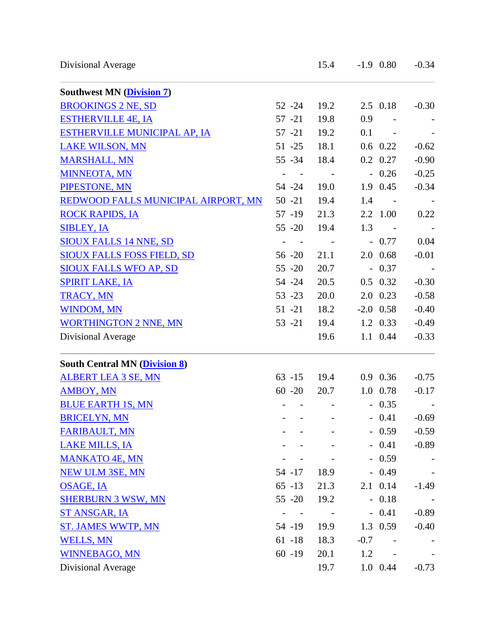| Divisional Average |  |
|--------------------|--|

| <b>Southwest MN (Division 7)</b>     |           |      |        |                          |         |
|--------------------------------------|-----------|------|--------|--------------------------|---------|
| <b>BROOKINGS 2 NE, SD</b>            | $52 - 24$ | 19.2 |        | $2.5 \quad 0.18$         | $-0.30$ |
| <b>ESTHERVILLE 4E, IA</b>            | $57 - 21$ | 19.8 | 0.9    | $\overline{\phantom{a}}$ |         |
| <b>ESTHERVILLE MUNICIPAL AP, IA</b>  | $57 - 21$ | 19.2 | 0.1    | $\sim$ $-$               |         |
| <b>LAKE WILSON, MN</b>               | $51 - 25$ | 18.1 |        | $0.6$ 0.22               | $-0.62$ |
| <b>MARSHALL, MN</b>                  | $55 - 34$ | 18.4 |        | $0.2 \quad 0.27$         | $-0.90$ |
| <b>MINNEOTA, MN</b>                  |           |      |        | $-0.26$                  | $-0.25$ |
| PIPESTONE, MN                        | $54 - 24$ | 19.0 |        | 1.9 0.45                 | $-0.34$ |
| REDWOOD FALLS MUNICIPAL AIRPORT, MN  | $50 - 21$ | 19.4 | 1.4    | $\sim$ $-$               |         |
| <b>ROCK RAPIDS, IA</b>               | $57 - 19$ | 21.3 |        | 2.2 1.00                 | 0.22    |
| <b>SIBLEY, IA</b>                    | $55 - 20$ | 19.4 | 1.3    | $\sim 100$ km s $^{-1}$  |         |
| <b>SIOUX FALLS 14 NNE, SD</b>        |           |      |        | $-0.77$                  | 0.04    |
| <b>SIOUX FALLS FOSS FIELD, SD</b>    | $56 - 20$ | 21.1 |        | 2.0 0.68                 | $-0.01$ |
| <b>SIOUX FALLS WFO AP, SD</b>        | $55 - 20$ | 20.7 |        | $-0.37$                  |         |
| <b>SPIRIT LAKE, IA</b>               | 54 - 24   | 20.5 |        | $0.5$ 0.32               | $-0.30$ |
| TRACY, MN                            | $53 - 23$ | 20.0 |        | 2.0 0.23                 | $-0.58$ |
| <b>WINDOM, MN</b>                    | $51 - 21$ | 18.2 |        | $-2.0$ 0.58              | $-0.40$ |
| <b>WORTHINGTON 2 NNE, MN</b>         | $53 - 21$ | 19.4 |        | 1.2 0.33                 | $-0.49$ |
| Divisional Average                   |           | 19.6 |        | 1.1 0.44                 | $-0.33$ |
| <b>South Central MN (Division 8)</b> |           |      |        |                          |         |
| <b>ALBERT LEA 3 SE, MN</b>           | $63 - 15$ | 19.4 |        | $0.9$ 0.36               | $-0.75$ |
| <b>AMBOY, MN</b>                     | $60 - 20$ | 20.7 |        | 1.0 0.78                 | $-0.17$ |
| <b>BLUE EARTH 1S, MN</b>             |           |      |        | $-0.35$                  |         |
| <b>BRICELYN, MN</b>                  |           |      |        | $-0.41$                  | $-0.69$ |
| <b>FARIBAULT, MN</b>                 |           |      |        | $-0.59$                  | $-0.59$ |
| <b>LAKE MILLS, IA</b>                |           |      |        | $-0.41$                  | $-0.89$ |
| <b>MANKATO 4E, MN</b>                |           |      |        | $-0.59$                  |         |
| <b>NEW ULM 3SE, MN</b>               | 54 - 17   | 18.9 |        | $-0.49$                  |         |
| <b>OSAGE, IA</b>                     | $65 - 13$ | 21.3 |        | 2.1 0.14                 | $-1.49$ |
| <b>SHERBURN 3 WSW, MN</b>            | $55 - 20$ | 19.2 |        | $-0.18$                  |         |
| ST ANSGAR, IA                        |           |      |        | $-0.41$                  | $-0.89$ |
| <b>ST. JAMES WWTP, MN</b>            | 54 -19    | 19.9 |        | 1.3 0.59                 | $-0.40$ |
| <b>WELLS, MN</b>                     | $61 - 18$ | 18.3 | $-0.7$ |                          |         |
| <b>WINNEBAGO, MN</b>                 | $60 - 19$ | 20.1 | 1.2    |                          |         |
| Divisional Average                   |           | 19.7 |        | 1.0 0.44                 | $-0.73$ |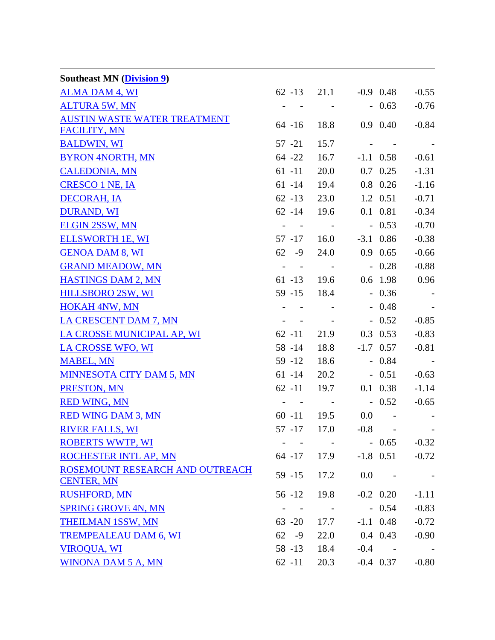| <b>Southeast MN</b> ( <i>Division 9</i> )            |                                                             |                                                       |                              |                  |            |
|------------------------------------------------------|-------------------------------------------------------------|-------------------------------------------------------|------------------------------|------------------|------------|
| <b>ALMA DAM 4, WI</b>                                |                                                             |                                                       | $62 - 13$ $21.1$ $-0.9$ 0.48 |                  | $-0.55$    |
| <b>ALTURA 5W, MN</b>                                 | $\sim$                                                      | $\sim$ $-$                                            |                              | $-0.63$          | $-0.76$    |
| <b>AUSTIN WASTE WATER TREATMENT</b>                  | $64 - 16$                                                   | 18.8                                                  |                              | 0.9 0.40         | $-0.84$    |
| <b>FACILITY, MN</b>                                  |                                                             |                                                       |                              |                  |            |
| <b>BALDWIN, WI</b>                                   | 57 -21                                                      | 15.7                                                  |                              |                  |            |
| <b>BYRON 4NORTH, MN</b>                              | $64 - 22$                                                   | 16.7                                                  |                              | $-1.1$ 0.58      | $-0.61$    |
| <b>CALEDONIA, MN</b>                                 | $61 - 11$                                                   | 20.0                                                  |                              | $0.7 \quad 0.25$ | $-1.31$    |
| <b>CRESCO 1 NE, IA</b>                               | $61 - 14$                                                   | 19.4                                                  |                              | 0.8 0.26         | $-1.16$    |
| <b>DECORAH, IA</b>                                   | $62 - 13$                                                   | 23.0                                                  |                              | 1.2 0.51         | $-0.71$    |
| <b>DURAND, WI</b>                                    | $62 - 14$ 19.6                                              |                                                       |                              | 0.1 0.81         | $-0.34$    |
| <b>ELGIN 2SSW, MN</b>                                | $\mathcal{A}^{\mathcal{A}}$ , $\mathcal{A}^{\mathcal{A}}$ , | $\mathcal{L}_{\rm{max}}$ and $\mathcal{L}_{\rm{max}}$ |                              | $-0.53$          | $-0.70$    |
| <b>ELLSWORTH 1E, WI</b>                              | 57 -17 16.0                                                 |                                                       |                              | $-3.1$ 0.86      | $-0.38$    |
| <b>GENOA DAM 8, WI</b>                               | $62 - 9$                                                    |                                                       | 24.0 0.9 0.65                |                  | $-0.66$    |
| <b>GRAND MEADOW, MN</b>                              |                                                             |                                                       | $   -$ 0.28                  |                  | $-0.88$    |
| <b>HASTINGS DAM 2, MN</b>                            |                                                             |                                                       | 61 -13 19.6 0.6 1.98         |                  | 0.96       |
| <b>HILLSBORO 2SW, WI</b>                             | 59 -15 18.4                                                 |                                                       |                              | $-0.36$          |            |
| <b>HOKAH 4NW, MN</b>                                 |                                                             |                                                       |                              | $-0.48$          |            |
| LA CRESCENT DAM 7, MN                                |                                                             |                                                       | and the state of the state   | $-0.52$          | $-0.85$    |
| LA CROSSE MUNICIPAL AP, WI                           | $62 - 11$                                                   |                                                       | 21.9 0.3 0.53                |                  | $-0.83$    |
| <b>LA CROSSE WFO, WI</b>                             | 58 - 14                                                     | 18.8                                                  |                              | $-1.7$ 0.57      | $-0.81$    |
| <b>MABEL, MN</b>                                     | 59 -12 18.6                                                 |                                                       |                              | $-0.84$          | $\sim 100$ |
| <b>MINNESOTA CITY DAM 5, MN</b>                      | $61 - 14$                                                   |                                                       | 20.2                         | $-0.51$          | $-0.63$    |
| PRESTON, MN                                          | $62 - 11$ 19.7                                              |                                                       |                              | 0.1 0.38         | $-1.14$    |
| <b>RED WING, MN</b>                                  | $\omega_{\rm{max}}$ , and the set of $\omega_{\rm{max}}$    |                                                       | $-0.52$                      |                  | $-0.65$    |
| <b>RED WING DAM 3, MN</b>                            |                                                             |                                                       | $60 - 11$ $19.5$ $0.0$ -     |                  |            |
| <b>RIVER FALLS, WI</b>                               | $57 - 17$                                                   | 17.0                                                  |                              | $-0.8 - 1$       |            |
| <b>ROBERTS WWTP, WI</b>                              |                                                             |                                                       |                              | $-0.65$          | $-0.32$    |
| ROCHESTER INTL AP, MN                                | $64 - 17$                                                   | 17.9                                                  |                              | $-1.8$ 0.51      | $-0.72$    |
| ROSEMOUNT RESEARCH AND OUTREACH<br><b>CENTER, MN</b> | $59 - 15$                                                   | 17.2                                                  | 0.0                          |                  |            |
| <b>RUSHFORD, MN</b>                                  | $56 - 12$                                                   | 19.8                                                  |                              | $-0.2$ 0.20      | $-1.11$    |
| <b>SPRING GROVE 4N, MN</b>                           | $\blacksquare$                                              | $\sim 100$ km s $^{-1}$                               |                              | $-0.54$          | $-0.83$    |
| <b>THEILMAN 1SSW, MN</b>                             | $63 - 20$                                                   | 17.7                                                  |                              | $-1.1$ 0.48      | $-0.72$    |
| <b>TREMPEALEAU DAM 6, WI</b>                         | $62 - 9$                                                    | 22.0                                                  | $0.4 \quad 0.43$             |                  | $-0.90$    |
| <b>VIROQUA, WI</b>                                   | 58 -13                                                      | 18.4                                                  | $-0.4$                       |                  |            |
| <b>WINONA DAM 5 A, MN</b>                            | $62 - 11$                                                   | 20.3                                                  |                              | $-0.4$ 0.37      | $-0.80$    |
|                                                      |                                                             |                                                       |                              |                  |            |